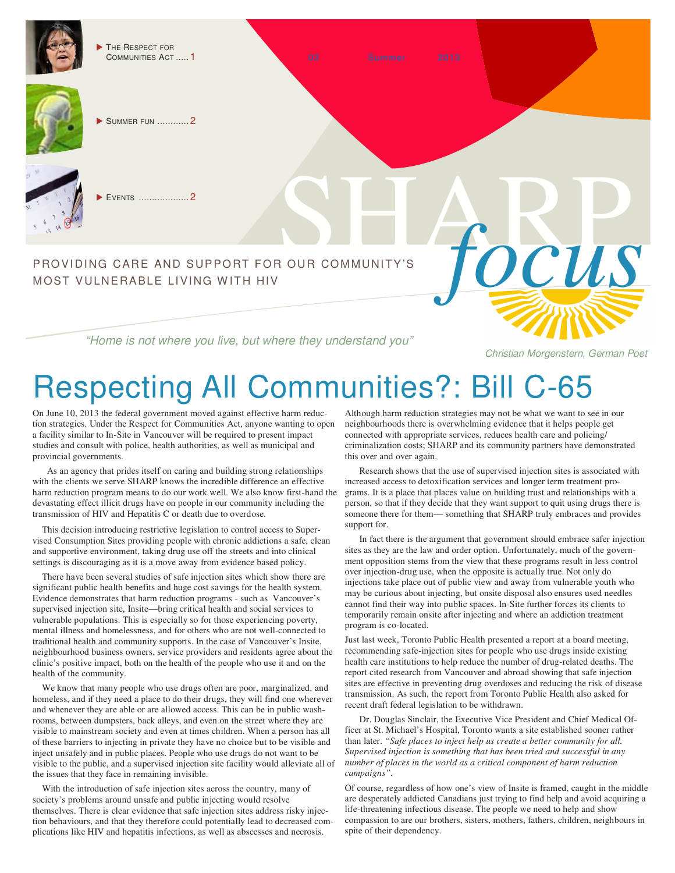THE RESPECT FOR COMMUNITIES ACT ..... 1



SUMMER FUN ............ 2

EVENTS ................... 2

# PROVIDING CARE AND SUPPORT FOR OUR COMMUNITY'S **FOCUS** MOST VULNERABLE LIVING WITH HIV

"Home is not where you live, but where they understand you"

Christian Morgenstern, German Poet

# Respecting All Communities?: Bill C-65

On June 10, 2013 the federal government moved against effective harm reduction strategies. Under the Respect for Communities Act, anyone wanting to open a facility similar to In-Site in Vancouver will be required to present impact studies and consult with police, health authorities, as well as municipal and provincial governments.

As an agency that prides itself on caring and building strong relationships with the clients we serve SHARP knows the incredible difference an effective harm reduction program means to do our work well. We also know first-hand the devastating effect illicit drugs have on people in our community including the transmission of HIV and Hepatitis C or death due to overdose.

This decision introducing restrictive legislation to control access to Supervised Consumption Sites providing people with chronic addictions a safe, clean and supportive environment, taking drug use off the streets and into clinical settings is discouraging as it is a move away from evidence based policy.

There have been several studies of safe injection sites which show there are significant public health benefits and huge cost savings for the health system. Evidence demonstrates that harm reduction programs - such as Vancouver's supervised injection site, Insite—bring critical health and social services to vulnerable populations. This is especially so for those experiencing poverty, mental illness and homelessness, and for others who are not well-connected to traditional health and community supports. In the case of Vancouver's Insite, neighbourhood business owners, service providers and residents agree about the clinic's positive impact, both on the health of the people who use it and on the health of the community.

We know that many people who use drugs often are poor, marginalized, and homeless, and if they need a place to do their drugs, they will find one wherever and whenever they are able or are allowed access. This can be in public washrooms, between dumpsters, back alleys, and even on the street where they are visible to mainstream society and even at times children. When a person has all of these barriers to injecting in private they have no choice but to be visible and inject unsafely and in public places. People who use drugs do not want to be visible to the public, and a supervised injection site facility would alleviate all of the issues that they face in remaining invisible.

With the introduction of safe injection sites across the country, many of society's problems around unsafe and public injecting would resolve themselves. There is clear evidence that safe injection sites address risky injection behaviours, and that they therefore could potentially lead to decreased complications like HIV and hepatitis infections, as well as abscesses and necrosis.

Although harm reduction strategies may not be what we want to see in our neighbourhoods there is overwhelming evidence that it helps people get connected with appropriate services, reduces health care and policing/ criminalization costs; SHARP and its community partners have demonstrated this over and over again.

Research shows that the use of supervised injection sites is associated with increased access to detoxification services and longer term treatment programs. It is a place that places value on building trust and relationships with a person, so that if they decide that they want support to quit using drugs there is someone there for them— something that SHARP truly embraces and provides support for.

In fact there is the argument that government should embrace safer injection sites as they are the law and order option. Unfortunately, much of the government opposition stems from the view that these programs result in less control over injection-drug use, when the opposite is actually true. Not only do injections take place out of public view and away from vulnerable youth who may be curious about injecting, but onsite disposal also ensures used needles cannot find their way into public spaces. In-Site further forces its clients to temporarily remain onsite after injecting and where an addiction treatment program is co-located.

Just last week, Toronto Public Health presented a report at a board meeting, recommending safe-injection sites for people who use drugs inside existing health care institutions to help reduce the number of drug-related deaths. The report cited research from Vancouver and abroad showing that safe injection sites are effective in preventing drug overdoses and reducing the risk of disease transmission. As such, the report from Toronto Public Health also asked for recent draft federal legislation to be withdrawn.

Dr. Douglas Sinclair, the Executive Vice President and Chief Medical Officer at St. Michael's Hospital, Toronto wants a site established sooner rather than later. *"Safe places to inject help us create a better community for all. Supervised injection is something that has been tried and successful in any number of places in the world as a critical component of harm reduction campaigns".*

Of course, regardless of how one's view of Insite is framed, caught in the middle are desperately addicted Canadians just trying to find help and avoid acquiring a life-threatening infectious disease. The people we need to help and show compassion to are our brothers, sisters, mothers, fathers, children, neighbours in spite of their dependency.